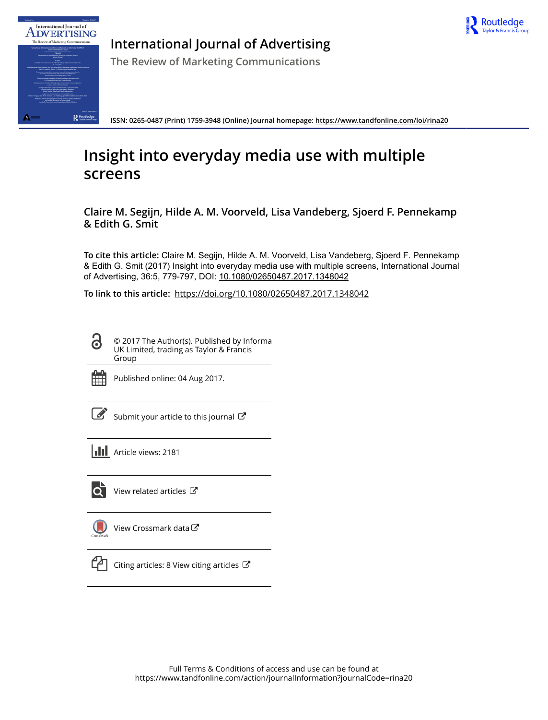



## **International Journal of Advertising**

**The Review of Marketing Communications**

**ISSN: 0265-0487 (Print) 1759-3948 (Online) Journal homepage:<https://www.tandfonline.com/loi/rina20>**

# **Insight into everyday media use with multiple screens**

**Claire M. Segijn, Hilde A. M. Voorveld, Lisa Vandeberg, Sjoerd F. Pennekamp & Edith G. Smit**

**To cite this article:** Claire M. Segijn, Hilde A. M. Voorveld, Lisa Vandeberg, Sjoerd F. Pennekamp & Edith G. Smit (2017) Insight into everyday media use with multiple screens, International Journal of Advertising, 36:5, 779-797, DOI: [10.1080/02650487.2017.1348042](https://www.tandfonline.com/action/showCitFormats?doi=10.1080/02650487.2017.1348042)

**To link to this article:** <https://doi.org/10.1080/02650487.2017.1348042>

© 2017 The Author(s). Published by Informa UK Limited, trading as Taylor & Francis Group



**G** 

Published online: 04 Aug 2017.

| ł |
|---|
|---|

[Submit your article to this journal](https://www.tandfonline.com/action/authorSubmission?journalCode=rina20&show=instructions)  $\mathbb{Z}$ 

**III** Article views: 2181



[View related articles](https://www.tandfonline.com/doi/mlt/10.1080/02650487.2017.1348042)  $\mathbb{Z}$ 

 $\bigcirc$ [View Crossmark data](http://crossmark.crossref.org/dialog/?doi=10.1080/02650487.2017.1348042&domain=pdf&date_stamp=2017-08-04)<sup>C</sup>



 $\mathbb{Z}$  [Citing articles: 8 View citing articles](https://www.tandfonline.com/doi/citedby/10.1080/02650487.2017.1348042#tabModule)  $\mathbb{Z}$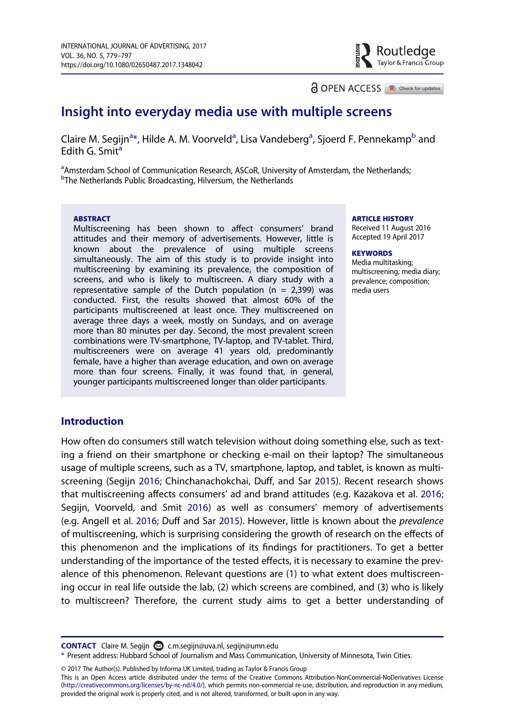**a** OPEN ACCESS **a** Check for updates

Routledge Taylor & Francis Group

## Insight into everyday media use with multiple screens

Cl[a](#page-1-0)ire M. Segijn<sup>a</sup>[\\*](#page-1-1), Hilde A. M. Voorveld<sup>a</sup>, Lisa Vandeberg<sup>a</sup>, Sjoerd F. Pennekamp<sup>b</sup> and Edith G. Smit[a](#page-1-0)

<span id="page-1-0"></span><sup>a</sup>Amsterdam School of Communication Research, ASCoR, University of Amsterdam, the Netherlands; <sup>b</sup>The Netherlands Public Broadcasting, Hilversum, the Netherlands

#### **ABSTRACT**

Multiscreening has been shown to affect consumers' brand attitudes and their memory of advertisements. However, little is known about the prevalence of using multiple screens simultaneously. The aim of this study is to provide insight into multiscreening by examining its prevalence, the composition of screens, and who is likely to multiscreen. A diary study with a representative sample of the Dutch population ( $n = 2,399$ ) was conducted. First, the results showed that almost 60% of the participants multiscreened at least once. They multiscreened on average three days a week, mostly on Sundays, and on average more than 80 minutes per day. Second, the most prevalent screen combinations were TV-smartphone, TV-laptop, and TV-tablet. Third, multiscreeners were on average 41 years old, predominantly female, have a higher than average education, and own on average more than four screens. Finally, it was found that, in general, younger participants multiscreened longer than older participants.

#### ARTICLE HISTORY

Received 11 August 2016 Accepted 19 April 2017

#### **KEYWORDS**

Media multitasking; multiscreening; media diary; prevalence; composition; media users

## **Introduction**

<span id="page-1-5"></span><span id="page-1-4"></span><span id="page-1-3"></span><span id="page-1-2"></span>How often do consumers still watch television without doing something else, such as texting a friend on their smartphone or checking e-mail on their laptop? The simultaneous usage of multiple screens, such as a TV, smartphone, laptop, and tablet, is known as multiscreening (Segijn [2016](#page-18-0); Chinchanachokchai, Duff, and Sar [2015](#page-17-0)). Recent research shows that multiscreening affects consumers' ad and brand attitudes (e.g. Kazakova et al. [2016](#page-18-1); Segijn, Voorveld, and Smit [2016\)](#page-18-2) as well as consumers' memory of advertisements (e.g. Angell et al. [2016](#page-17-1); Duff and Sar [2015](#page-18-3)). However, little is known about the prevalence of multiscreening, which is surprising considering the growth of research on the effects of this phenomenon and the implications of its findings for practitioners. To get a better understanding of the importance of the tested effects, it is necessary to examine the prevalence of this phenomenon. Relevant questions are (1) to what extent does multiscreening occur in real life outside the lab, (2) which screens are combined, and (3) who is likely to multiscreen? Therefore, the current study aims to get a better understanding of

© 2017 The Author(s). Published by Informa UK Limited, trading as Taylor & Francis Group

This is an Open Access article distributed under the terms of the Creative Commons Attribution-NonCommercial-NoDerivatives License (<http://creativecommons.org/licenses/by-nc-nd/4.0/>), which permits non-commercial re-use, distribution, and reproduction in any medium, provided the original work is properly cited, and is not altered, transformed, or built upon in any way.

CONTACT Claire M. Segijn 2 [c.m.segijn@uva.nl,](mailto:c.m.segijn@uva.nl) [segijn@umn.edu](mailto:segijn@umn.edu)

<span id="page-1-1"></span><sup>\*</sup> Present address: Hubbard School of Journalism and Mass Communication, University of Minnesota, Twin Cities.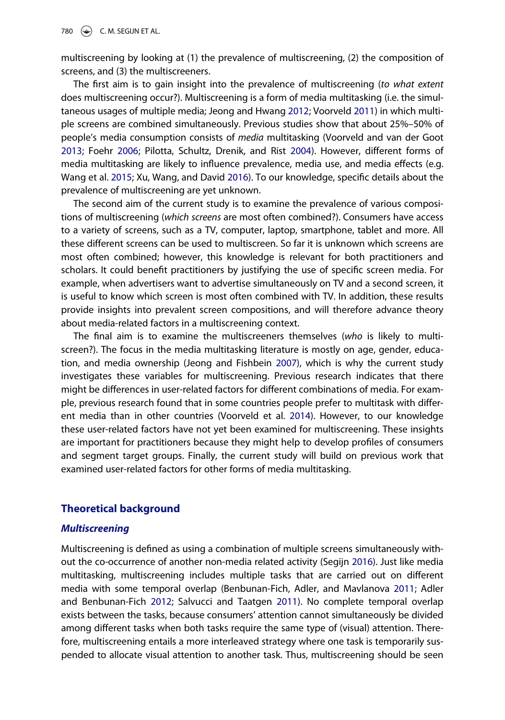multiscreening by looking at (1) the prevalence of multiscreening, (2) the composition of screens, and (3) the multiscreeners.

<span id="page-2-6"></span><span id="page-2-4"></span>The first aim is to gain insight into the prevalence of multiscreening (to what extent does multiscreening occur?). Multiscreening is a form of media multitasking (i.e. the simultaneous usages of multiple media; Jeong and Hwang [2012;](#page-18-4) Voorveld [2011](#page-19-0)) in which multiple screens are combined simultaneously. Previous studies show that about 25%–50% of people's media consumption consists of media multitasking (Voorveld and van der Goot [2013](#page-19-1); Foehr [2006](#page-18-5); Pilotta, Schultz, Drenik, and Rist [2004](#page-18-6)). However, different forms of media multitasking are likely to influence prevalence, media use, and media effects (e.g. Wang et al. [2015;](#page-19-2) Xu, Wang, and David [2016\)](#page-19-3). To our knowledge, specific details about the prevalence of multiscreening are yet unknown.

<span id="page-2-7"></span><span id="page-2-2"></span>The second aim of the current study is to examine the prevalence of various compositions of multiscreening (which screens are most often combined?). Consumers have access to a variety of screens, such as a TV, computer, laptop, smartphone, tablet and more. All these different screens can be used to multiscreen. So far it is unknown which screens are most often combined; however, this knowledge is relevant for both practitioners and scholars. It could benefit practitioners by justifying the use of specific screen media. For example, when advertisers want to advertise simultaneously on TV and a second screen, it is useful to know which screen is most often combined with TV. In addition, these results provide insights into prevalent screen compositions, and will therefore advance theory about media-related factors in a multiscreening context.

<span id="page-2-5"></span><span id="page-2-3"></span>The final aim is to examine the multiscreeners themselves (who is likely to multiscreen?). The focus in the media multitasking literature is mostly on age, gender, education, and media ownership (Jeong and Fishbein [2007\)](#page-18-7), which is why the current study investigates these variables for multiscreening. Previous research indicates that there might be differences in user-related factors for different combinations of media. For example, previous research found that in some countries people prefer to multitask with different media than in other countries (Voorveld et al. [2014](#page-19-4)). However, to our knowledge these user-related factors have not yet been examined for multiscreening. These insights are important for practitioners because they might help to develop profiles of consumers and segment target groups. Finally, the current study will build on previous work that examined user-related factors for other forms of media multitasking.

## Theoretical background

## Multiscreening

<span id="page-2-1"></span><span id="page-2-0"></span>Multiscreening is defined as using a combination of multiple screens simultaneously without the co-occurrence of another non-media related activity (Segijn [2016](#page-18-0)). Just like media multitasking, multiscreening includes multiple tasks that are carried out on different media with some temporal overlap (Benbunan-Fich, Adler, and Mavlanova [2011](#page-17-2); Adler and Benbunan-Fich [2012;](#page-17-3) Salvucci and Taatgen [2011\)](#page-18-8). No complete temporal overlap exists between the tasks, because consumers' attention cannot simultaneously be divided among different tasks when both tasks require the same type of (visual) attention. Therefore, multiscreening entails a more interleaved strategy where one task is temporarily suspended to allocate visual attention to another task. Thus, multiscreening should be seen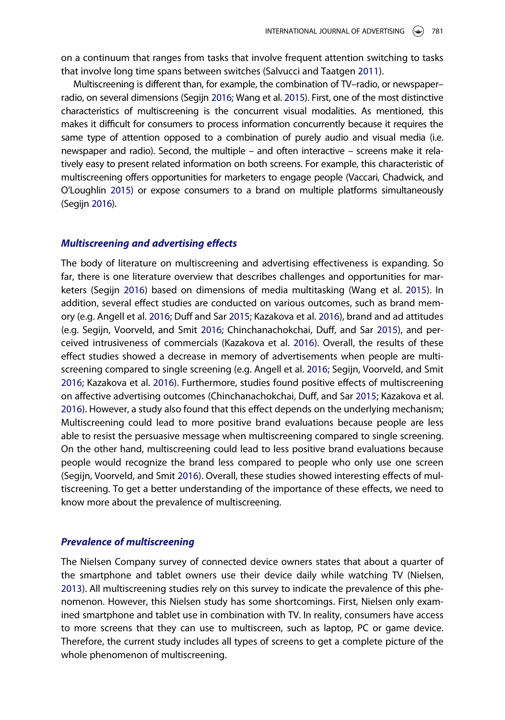on a continuum that ranges from tasks that involve frequent attention switching to tasks that involve long time spans between switches (Salvucci and Taatgen [2011](#page-18-8)).

Multiscreening is different than, for example, the combination of TV–radio, or newspaper– radio, on several dimensions (Segijn [2016](#page-18-0); Wang et al. [2015\)](#page-19-2). First, one of the most distinctive characteristics of multiscreening is the concurrent visual modalities. As mentioned, this makes it difficult for consumers to process information concurrently because it requires the same type of attention opposed to a combination of purely audio and visual media (i.e. newspaper and radio). Second, the multiple – and often interactive – screens make it relatively easy to present related information on both screens. For example, this characteristic of multiscreening offers opportunities for marketers to engage people (Vaccari, Chadwick, and O'Loughlin [2015\)](#page-19-5) or expose consumers to a brand on multiple platforms simultaneously (Segijn [2016](#page-18-0)).

## <span id="page-3-1"></span>Multiscreening and advertising effects

The body of literature on multiscreening and advertising effectiveness is expanding. So far, there is one literature overview that describes challenges and opportunities for marketers (Segijn [2016](#page-18-0)) based on dimensions of media multitasking (Wang et al. [2015\)](#page-19-2). In addition, several effect studies are conducted on various outcomes, such as brand memory (e.g. Angell et al. [2016](#page-17-1); Duff and Sar [2015](#page-18-3); Kazakova et al. [2016\)](#page-18-1), brand and ad attitudes (e.g. Segijn, Voorveld, and Smit [2016;](#page-18-2) Chinchanachokchai, Duff, and Sar [2015\)](#page-17-0), and perceived intrusiveness of commercials (Kazakova et al. [2016](#page-18-1)). Overall, the results of these effect studies showed a decrease in memory of advertisements when people are multiscreening compared to single screening (e.g. Angell et al. [2016](#page-17-1); Segijn, Voorveld, and Smit [2016](#page-18-2); Kazakova et al. [2016\)](#page-18-1). Furthermore, studies found positive effects of multiscreening on affective advertising outcomes (Chinchanachokchai, Duff, and Sar [2015;](#page-17-0) Kazakova et al. [2016](#page-18-1)). However, a study also found that this effect depends on the underlying mechanism; Multiscreening could lead to more positive brand evaluations because people are less able to resist the persuasive message when multiscreening compared to single screening. On the other hand, multiscreening could lead to less positive brand evaluations because people would recognize the brand less compared to people who only use one screen (Segijn, Voorveld, and Smit [2016\)](#page-18-2). Overall, these studies showed interesting effects of multiscreening. To get a better understanding of the importance of these effects, we need to know more about the prevalence of multiscreening.

## Prevalence of multiscreening

<span id="page-3-0"></span>The Nielsen Company survey of connected device owners states that about a quarter of the smartphone and tablet owners use their device daily while watching TV (Nielsen, [2013](#page-18-9)). All multiscreening studies rely on this survey to indicate the prevalence of this phenomenon. However, this Nielsen study has some shortcomings. First, Nielsen only examined smartphone and tablet use in combination with TV. In reality, consumers have access to more screens that they can use to multiscreen, such as laptop, PC or game device. Therefore, the current study includes all types of screens to get a complete picture of the whole phenomenon of multiscreening.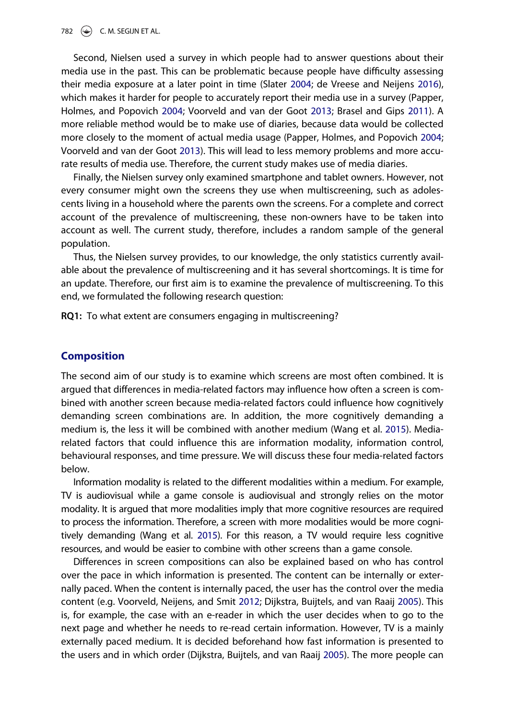782  $\left(\bigoplus$  C. M. SEGIJN ET AL.

<span id="page-4-1"></span><span id="page-4-0"></span>Second, Nielsen used a survey in which people had to answer questions about their media use in the past. This can be problematic because people have difficulty assessing their media exposure at a later point in time (Slater [2004](#page-19-6); de Vreese and Neijens [2016\)](#page-18-10), which makes it harder for people to accurately report their media use in a survey (Papper, Holmes, and Popovich [2004;](#page-18-11) Voorveld and van der Goot [2013](#page-19-1); Brasel and Gips [2011](#page-17-4)). A more reliable method would be to make use of diaries, because data would be collected more closely to the moment of actual media usage (Papper, Holmes, and Popovich [2004](#page-18-11); Voorveld and van der Goot [2013\)](#page-19-1). This will lead to less memory problems and more accurate results of media use. Therefore, the current study makes use of media diaries.

<span id="page-4-3"></span>Finally, the Nielsen survey only examined smartphone and tablet owners. However, not every consumer might own the screens they use when multiscreening, such as adolescents living in a household where the parents own the screens. For a complete and correct account of the prevalence of multiscreening, these non-owners have to be taken into account as well. The current study, therefore, includes a random sample of the general population.

Thus, the Nielsen survey provides, to our knowledge, the only statistics currently available about the prevalence of multiscreening and it has several shortcomings. It is time for an update. Therefore, our first aim is to examine the prevalence of multiscreening. To this end, we formulated the following research question:

RQ1: To what extent are consumers engaging in multiscreening?

## Composition

The second aim of our study is to examine which screens are most often combined. It is argued that differences in media-related factors may influence how often a screen is combined with another screen because media-related factors could influence how cognitively demanding screen combinations are. In addition, the more cognitively demanding a medium is, the less it will be combined with another medium (Wang et al. [2015\)](#page-19-2). Mediarelated factors that could influence this are information modality, information control, behavioural responses, and time pressure. We will discuss these four media-related factors below.

Information modality is related to the different modalities within a medium. For example, TV is audiovisual while a game console is audiovisual and strongly relies on the motor modality. It is argued that more modalities imply that more cognitive resources are required to process the information. Therefore, a screen with more modalities would be more cognitively demanding (Wang et al. [2015\)](#page-19-2). For this reason, a TV would require less cognitive resources, and would be easier to combine with other screens than a game console.

<span id="page-4-4"></span><span id="page-4-2"></span>Differences in screen compositions can also be explained based on who has control over the pace in which information is presented. The content can be internally or externally paced. When the content is internally paced, the user has the control over the media content (e.g. Voorveld, Neijens, and Smit [2012;](#page-19-7) Dijkstra, Buijtels, and van Raaij [2005](#page-18-12)). This is, for example, the case with an e-reader in which the user decides when to go to the next page and whether he needs to re-read certain information. However, TV is a mainly externally paced medium. It is decided beforehand how fast information is presented to the users and in which order (Dijkstra, Buijtels, and van Raaij [2005](#page-18-12)). The more people can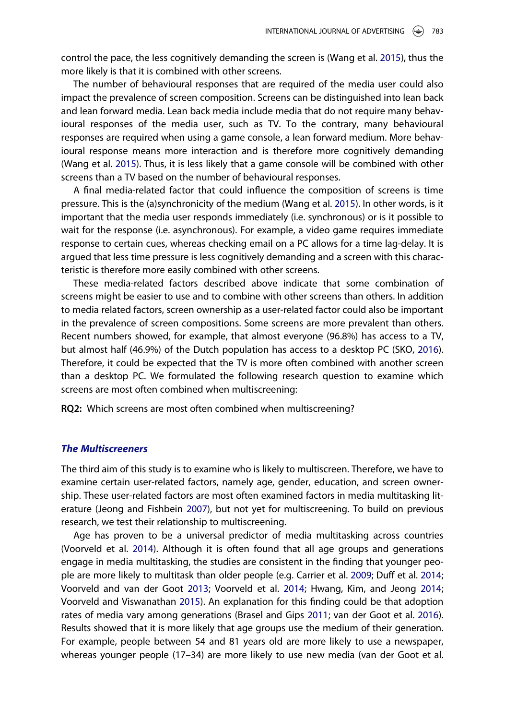control the pace, the less cognitively demanding the screen is (Wang et al. [2015\)](#page-19-2), thus the more likely is that it is combined with other screens.

The number of behavioural responses that are required of the media user could also impact the prevalence of screen composition. Screens can be distinguished into lean back and lean forward media. Lean back media include media that do not require many behavioural responses of the media user, such as TV. To the contrary, many behavioural responses are required when using a game console, a lean forward medium. More behavioural response means more interaction and is therefore more cognitively demanding (Wang et al. [2015](#page-19-2)). Thus, it is less likely that a game console will be combined with other screens than a TV based on the number of behavioural responses.

A final media-related factor that could influence the composition of screens is time pressure. This is the (a)synchronicity of the medium (Wang et al. [2015](#page-19-2)). In other words, is it important that the media user responds immediately (i.e. synchronous) or is it possible to wait for the response (i.e. asynchronous). For example, a video game requires immediate response to certain cues, whereas checking email on a PC allows for a time lag-delay. It is argued that less time pressure is less cognitively demanding and a screen with this characteristic is therefore more easily combined with other screens.

These media-related factors described above indicate that some combination of screens might be easier to use and to combine with other screens than others. In addition to media related factors, screen ownership as a user-related factor could also be important in the prevalence of screen compositions. Some screens are more prevalent than others. Recent numbers showed, for example, that almost everyone (96.8%) has access to a TV, but almost half (46.9%) of the Dutch population has access to a desktop PC (SKO, [2016\)](#page-18-13). Therefore, it could be expected that the TV is more often combined with another screen than a desktop PC. We formulated the following research question to examine which screens are most often combined when multiscreening:

<span id="page-5-2"></span>RQ2: Which screens are most often combined when multiscreening?

## The Multiscreeners

The third aim of this study is to examine who is likely to multiscreen. Therefore, we have to examine certain user-related factors, namely age, gender, education, and screen ownership. These user-related factors are most often examined factors in media multitasking literature (Jeong and Fishbein [2007\)](#page-18-7), but not yet for multiscreening. To build on previous research, we test their relationship to multiscreening.

<span id="page-5-4"></span><span id="page-5-3"></span><span id="page-5-1"></span><span id="page-5-0"></span>Age has proven to be a universal predictor of media multitasking across countries (Voorveld et al. [2014\)](#page-19-4). Although it is often found that all age groups and generations engage in media multitasking, the studies are consistent in the finding that younger people are more likely to multitask than older people (e.g. Carrier et al. [2009](#page-17-5); Duff et al. [2014](#page-18-14); Voorveld and van der Goot [2013;](#page-19-1) Voorveld et al. [2014;](#page-19-4) Hwang, Kim, and Jeong [2014](#page-18-15); Voorveld and Viswanathan [2015\)](#page-19-8). An explanation for this finding could be that adoption rates of media vary among generations (Brasel and Gips [2011;](#page-17-4) van der Goot et al. [2016\)](#page-19-9). Results showed that it is more likely that age groups use the medium of their generation. For example, people between 54 and 81 years old are more likely to use a newspaper, whereas younger people (17–34) are more likely to use new media (van der Goot et al.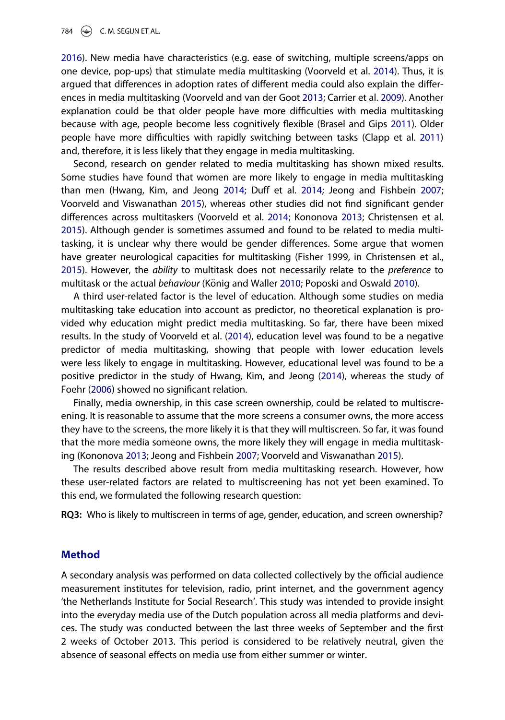784  $\left(\frac{1}{2}\right)$  C. M. SEGIJN ET AL.

[2016](#page-19-9)). New media have characteristics (e.g. ease of switching, multiple screens/apps on one device, pop-ups) that stimulate media multitasking (Voorveld et al. [2014](#page-19-4)). Thus, it is argued that differences in adoption rates of different media could also explain the differences in media multitasking (Voorveld and van der Goot [2013;](#page-19-1) Carrier et al. [2009](#page-17-5)). Another explanation could be that older people have more difficulties with media multitasking because with age, people become less cognitively flexible (Brasel and Gips [2011](#page-17-4)). Older people have more difficulties with rapidly switching between tasks (Clapp et al. [2011\)](#page-18-16) and, therefore, it is less likely that they engage in media multitasking.

<span id="page-6-1"></span>Second, research on gender related to media multitasking has shown mixed results. Some studies have found that women are more likely to engage in media multitasking than men (Hwang, Kim, and Jeong [2014;](#page-18-15) Duff et al. [2014;](#page-18-14) Jeong and Fishbein [2007](#page-18-7); Voorveld and Viswanathan [2015](#page-19-8)), whereas other studies did not find significant gender differences across multitaskers (Voorveld et al. [2014;](#page-19-4) Kononova [2013](#page-18-17); Christensen et al. [2015](#page-17-6)). Although gender is sometimes assumed and found to be related to media multitasking, it is unclear why there would be gender differences. Some argue that women have greater neurological capacities for multitasking (Fisher 1999, in Christensen et al., [2015](#page-17-6)). However, the *ability* to multitask does not necessarily relate to the *preference* to multitask or the actual behaviour (König and Waller [2010;](#page-18-18) Poposki and Oswald [2010](#page-18-19)).

<span id="page-6-2"></span><span id="page-6-0"></span>A third user-related factor is the level of education. Although some studies on media multitasking take education into account as predictor, no theoretical explanation is provided why education might predict media multitasking. So far, there have been mixed results. In the study of Voorveld et al. ([2014\)](#page-19-4), education level was found to be a negative predictor of media multitasking, showing that people with lower education levels were less likely to engage in multitasking. However, educational level was found to be a positive predictor in the study of Hwang, Kim, and Jeong ([2014](#page-18-15)), whereas the study of Foehr ([2006](#page-18-5)) showed no significant relation.

Finally, media ownership, in this case screen ownership, could be related to multiscreening. It is reasonable to assume that the more screens a consumer owns, the more access they have to the screens, the more likely it is that they will multiscreen. So far, it was found that the more media someone owns, the more likely they will engage in media multitasking (Kononova [2013](#page-18-17); Jeong and Fishbein [2007](#page-18-7); Voorveld and Viswanathan [2015](#page-19-8)).

<span id="page-6-3"></span>The results described above result from media multitasking research. However, how these user-related factors are related to multiscreening has not yet been examined. To this end, we formulated the following research question:

RQ3: Who is likely to multiscreen in terms of age, gender, education, and screen ownership?

## Method

A secondary analysis was performed on data collected collectively by the official audience measurement institutes for television, radio, print internet, and the government agency 'the Netherlands Institute for Social Research'. This study was intended to provide insight into the everyday media use of the Dutch population across all media platforms and devices. The study was conducted between the last three weeks of September and the first 2 weeks of October 2013. This period is considered to be relatively neutral, given the absence of seasonal effects on media use from either summer or winter.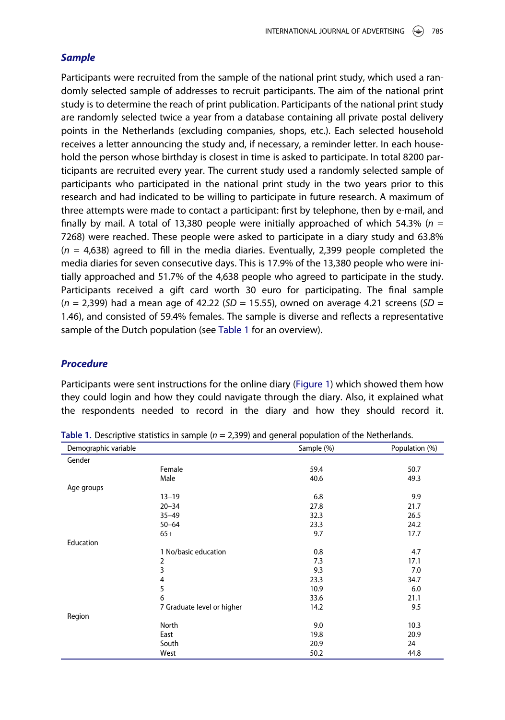## Sample

Participants were recruited from the sample of the national print study, which used a randomly selected sample of addresses to recruit participants. The aim of the national print study is to determine the reach of print publication. Participants of the national print study are randomly selected twice a year from a database containing all private postal delivery points in the Netherlands (excluding companies, shops, etc.). Each selected household receives a letter announcing the study and, if necessary, a reminder letter. In each household the person whose birthday is closest in time is asked to participate. In total 8200 participants are recruited every year. The current study used a randomly selected sample of participants who participated in the national print study in the two years prior to this research and had indicated to be willing to participate in future research. A maximum of three attempts were made to contact a participant: first by telephone, then by e-mail, and finally by mail. A total of 13,380 people were initially approached of which 54.3% ( $n =$ 7268) were reached. These people were asked to participate in a diary study and 63.8%  $(n = 4,638)$  agreed to fill in the media diaries. Eventually, 2,399 people completed the media diaries for seven consecutive days. This is 17.9% of the 13,380 people who were initially approached and 51.7% of the 4,638 people who agreed to participate in the study. Participants received a gift card worth 30 euro for participating. The final sample  $(n = 2.399)$  had a mean age of 42.22 (SD = 15.55), owned on average 4.21 screens (SD = 1.46), and consisted of 59.4% females. The sample is diverse and reflects a representative sample of the Dutch population (see [Table 1](#page-7-0) for an overview).

## Procedure

Participants were sent instructions for the online diary [\(Figure 1\)](#page-8-0) which showed them how they could login and how they could navigate through the diary. Also, it explained what the respondents needed to record in the diary and how they should record it.

| Demographic variable |                            | Sample (%) | Population (%) |
|----------------------|----------------------------|------------|----------------|
| Gender               |                            |            |                |
|                      | Female                     | 59.4       | 50.7           |
|                      | Male                       | 40.6       | 49.3           |
| Age groups           |                            |            |                |
|                      | $13 - 19$                  | 6.8        | 9.9            |
|                      | $20 - 34$                  | 27.8       | 21.7           |
|                      | $35 - 49$                  | 32.3       | 26.5           |
|                      | $50 - 64$                  | 23.3       | 24.2           |
|                      | $65+$                      | 9.7        | 17.7           |
| Education            |                            |            |                |
|                      | 1 No/basic education       | 0.8        | 4.7            |
|                      | 2                          | 7.3        | 17.1           |
|                      | 3                          | 9.3        | 7.0            |
|                      | 4                          | 23.3       | 34.7           |
|                      | 5                          | 10.9       | 6.0            |
|                      | 6                          | 33.6       | 21.1           |
|                      | 7 Graduate level or higher | 14.2       | 9.5            |
| Region               |                            |            |                |
|                      | North                      | 9.0        | 10.3           |
|                      | East                       | 19.8       | 20.9           |
|                      | South                      | 20.9       | 24             |
|                      | West                       | 50.2       | 44.8           |

<span id="page-7-0"></span>Table 1. Descriptive statistics in sample ( $n = 2,399$ ) and general population of the Netherlands.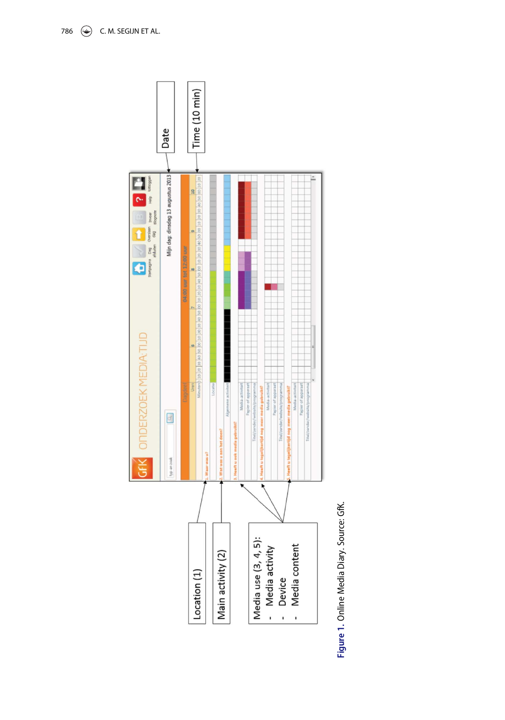<span id="page-8-0"></span>

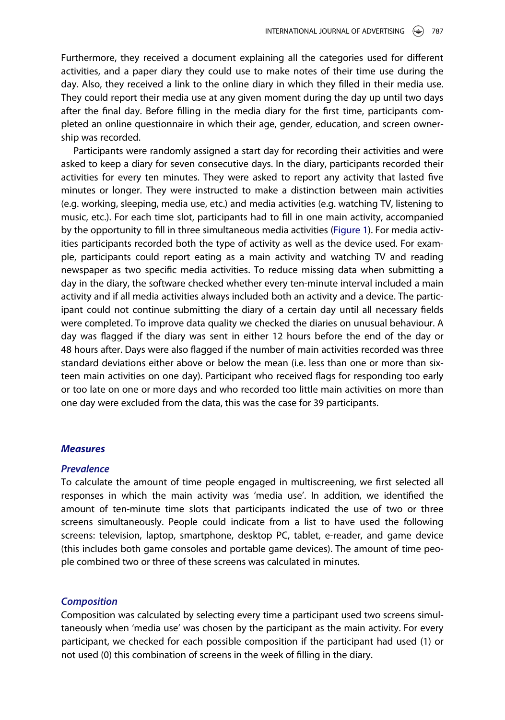Furthermore, they received a document explaining all the categories used for different activities, and a paper diary they could use to make notes of their time use during the day. Also, they received a link to the online diary in which they filled in their media use. They could report their media use at any given moment during the day up until two days after the final day. Before filling in the media diary for the first time, participants completed an online questionnaire in which their age, gender, education, and screen ownership was recorded.

Participants were randomly assigned a start day for recording their activities and were asked to keep a diary for seven consecutive days. In the diary, participants recorded their activities for every ten minutes. They were asked to report any activity that lasted five minutes or longer. They were instructed to make a distinction between main activities (e.g. working, sleeping, media use, etc.) and media activities (e.g. watching TV, listening to music, etc.). For each time slot, participants had to fill in one main activity, accompanied by the opportunity to fill in three simultaneous media activities ([Figure 1\)](#page-8-0). For media activities participants recorded both the type of activity as well as the device used. For example, participants could report eating as a main activity and watching TV and reading newspaper as two specific media activities. To reduce missing data when submitting a day in the diary, the software checked whether every ten-minute interval included a main activity and if all media activities always included both an activity and a device. The participant could not continue submitting the diary of a certain day until all necessary fields were completed. To improve data quality we checked the diaries on unusual behaviour. A day was flagged if the diary was sent in either 12 hours before the end of the day or 48 hours after. Days were also flagged if the number of main activities recorded was three standard deviations either above or below the mean (i.e. less than one or more than sixteen main activities on one day). Participant who received flags for responding too early or too late on one or more days and who recorded too little main activities on more than one day were excluded from the data, this was the case for 39 participants.

## Measures

## **Prevalence**

To calculate the amount of time people engaged in multiscreening, we first selected all responses in which the main activity was 'media use'. In addition, we identified the amount of ten-minute time slots that participants indicated the use of two or three screens simultaneously. People could indicate from a list to have used the following screens: television, laptop, smartphone, desktop PC, tablet, e-reader, and game device (this includes both game consoles and portable game devices). The amount of time people combined two or three of these screens was calculated in minutes.

### **Composition**

Composition was calculated by selecting every time a participant used two screens simultaneously when 'media use' was chosen by the participant as the main activity. For every participant, we checked for each possible composition if the participant had used (1) or not used (0) this combination of screens in the week of filling in the diary.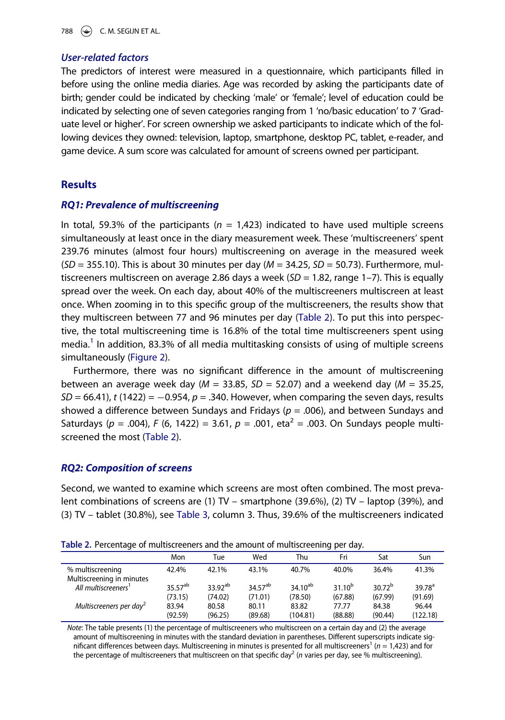## User-related factors

The predictors of interest were measured in a questionnaire, which participants filled in before using the online media diaries. Age was recorded by asking the participants date of birth; gender could be indicated by checking 'male' or 'female'; level of education could be indicated by selecting one of seven categories ranging from 1 'no/basic education' to 7 'Graduate level or higher'. For screen ownership we asked participants to indicate which of the following devices they owned: television, laptop, smartphone, desktop PC, tablet, e-reader, and game device. A sum score was calculated for amount of screens owned per participant.

## Results

## RQ1: Prevalence of multiscreening

In total, 59.3% of the participants ( $n = 1.423$ ) indicated to have used multiple screens simultaneously at least once in the diary measurement week. These 'multiscreeners' spent 239.76 minutes (almost four hours) multiscreening on average in the measured week  $(SD = 355.10)$ . This is about 30 minutes per day ( $M = 34.25$ ,  $SD = 50.73$ ). Furthermore, multiscreeners multiscreen on average 2.86 days a week ( $SD = 1.82$ , range 1–7). This is equally spread over the week. On each day, about 40% of the multiscreeners multiscreen at least once. When zooming in to this specific group of the multiscreeners, the results show that they multiscreen between 77 and 96 minutes per day ([Table 2](#page-10-0)). To put this into perspective, the total multiscreening time is 16.8% of the total time multiscreeners spent using media.<sup>[1](#page-16-0)</sup> In addition, 83.3% of all media multitasking consists of using of multiple screens simultaneously [\(Figure 2](#page-11-0)).

Furthermore, there was no significant difference in the amount of multiscreening between an average week day ( $M = 33.85$ ,  $SD = 52.07$ ) and a weekend day ( $M = 35.25$ ,  $SD = 66.41$ , t (1422) = -0.954, p = .340. However, when comparing the seven days, results showed a difference between Sundays and Fridays ( $p = .006$ ), and between Sundays and Saturdays ( $p = .004$ ), F (6, 1422) = 3.61,  $p = .001$ , eta<sup>2</sup> = .003. On Sundays people multiscreened the most [\(Table 2](#page-10-0)).

## RQ2: Composition of screens

Second, we wanted to examine which screens are most often combined. The most prevalent combinations of screens are (1) TV – smartphone (39.6%), (2) TV – laptop (39%), and (3) TV – tablet (30.8%), see [Table 3](#page-11-1), column 3. Thus, 39.6% of the multiscreeners indicated

| Table 2. Percentage of multiscreeners and the amount of multiscreening per day |  |  |  |
|--------------------------------------------------------------------------------|--|--|--|
|                                                                                |  |  |  |

| Table 2. Percentage of multiscreeners and the amount of multiscreening per day. |         |         |                     |                     |             |             |                    |
|---------------------------------------------------------------------------------|---------|---------|---------------------|---------------------|-------------|-------------|--------------------|
|                                                                                 | Mon     | Tue     | Wed                 | Thu                 | Fri         | Sat         | Sun                |
| % multiscreening                                                                | 42.4%   | 42.1%   | 43.1%               | 40.7%               | 40.0%       | 36.4%       | 41.3%              |
| Multiscreening in minutes                                                       |         |         |                     |                     |             |             |                    |
| All multiscreeners <sup>1</sup>                                                 | 35.57ab | 33.92ab | 34.57 <sup>ab</sup> | 34.10 <sup>ab</sup> | $31.10^{b}$ | $30.72^{b}$ | 39.78 <sup>a</sup> |
|                                                                                 | (73.15) | (74.02) | (71.01)             | (78.50)             | (67.88)     | (67.99)     | (91.69)            |
| Multiscreeners per day <sup>2</sup>                                             | 83.94   | 80.58   | 80.11               | 83.82               | 77.77       | 84.38       | 96.44              |
|                                                                                 | (92.59) | (96.25) | (89.68)             | (104.81)            | (88.88)     | (90.44)     | (122.18)           |

<span id="page-10-0"></span>Note: The table presents (1) the percentage of multiscreeners who multiscreen on a certain day and (2) the average amount of multiscreening in minutes with the standard deviation in parentheses. Different superscripts indicate significant differences between days. Multiscreening in minutes is presented for all multiscreeners<sup>1</sup> ( $n = 1,423$ ) and for the percentage of multiscreeners that multiscreen on that specific day<sup>2</sup> (*n* varies per day, see % multiscreening).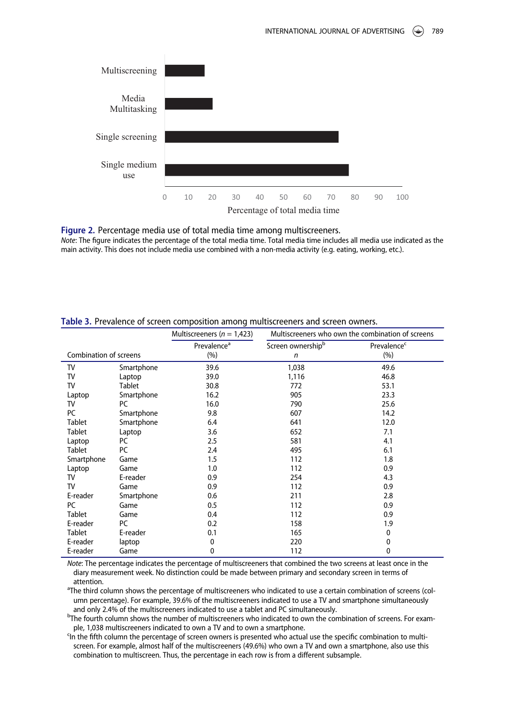<span id="page-11-0"></span>

**Figure 2.** Percentage media use of total media time among multiscreeners.<br>Note: The figure indicates the percentage of the total media time. Total media time includes all media use indicated as the main activity. This does not include media use combined with a non-media activity (e.g. eating, working, etc.).

|                        |            | Multiscreeners ( $n = 1,423$ ) | Multiscreeners who own the combination of screens |                         |  |
|------------------------|------------|--------------------------------|---------------------------------------------------|-------------------------|--|
|                        |            | Prevalence <sup>a</sup>        | Screen ownershipb                                 | Prevalence <sup>c</sup> |  |
| Combination of screens |            | (% )                           | $\boldsymbol{n}$                                  | (% )                    |  |
| TV                     | Smartphone | 39.6                           | 1,038                                             | 49.6                    |  |
| TV                     | Laptop     | 39.0                           | 1,116                                             | 46.8                    |  |
| TV                     | Tablet     | 30.8                           | 772                                               | 53.1                    |  |
| Laptop                 | Smartphone | 16.2                           | 905                                               | 23.3                    |  |
| TV                     | PC         | 16.0                           | 790                                               | 25.6                    |  |
| PC                     | Smartphone | 9.8                            | 607                                               | 14.2                    |  |
| <b>Tablet</b>          | Smartphone | 6.4                            | 641                                               | 12.0                    |  |
| <b>Tablet</b>          | Laptop     | 3.6                            | 652                                               | 7.1                     |  |
| Laptop                 | PC         | 2.5                            | 581                                               | 4.1                     |  |
| Tablet                 | PC         | 2.4                            | 495                                               | 6.1                     |  |
| Smartphone             | Game       | 1.5                            | 112                                               | 1.8                     |  |
| Laptop                 | Game       | 1.0                            | 112                                               | 0.9                     |  |
| TV                     | E-reader   | 0.9                            | 254                                               | 4.3                     |  |
| TV                     | Game       | 0.9                            | 112                                               | 0.9                     |  |
| E-reader               | Smartphone | 0.6                            | 211                                               | 2.8                     |  |
| PC                     | Game       | 0.5                            | 112                                               | 0.9                     |  |
| <b>Tablet</b>          | Game       | 0.4                            | 112                                               | 0.9                     |  |
| E-reader               | PC         | 0.2                            | 158                                               | 1.9                     |  |
| Tablet                 | E-reader   | 0.1                            | 165                                               | 0                       |  |
| E-reader               | laptop     | 0                              | 220                                               | 0                       |  |
| E-reader               | Game       | 0                              | 112                                               | 0                       |  |

Table 3. Prevalence of screen composition among multiscreeners and screen owners.

<span id="page-11-1"></span>Note: The percentage indicates the percentage of multiscreeners that combined the two screens at least once in the diary measurement week. No distinction could be made between primary and secondary screen in terms of attention.<br><sup>a</sup>The third column shows the percentage of multiscreeners who indicated to use a certain combination of screens (col-

umn percentage). For example, 39.6% of the multiscreeners indicated to use a TV and smartphone simultaneously and only 2.4% of the multiscreeners indicated to use a tablet and PC simultaneously.

<sup>b</sup>The fourth column shows the number of multiscreeners who indicated to own the combination of screens. For example, 1,038 multiscreeners indicated to own a TV and to own a smartphone.

In the fifth column the percentage of screen owners is presented who actual use the specific combination to multiscreen. For example, almost half of the multiscreeners (49.6%) who own a TV and own a smartphone, also use this combination to multiscreen. Thus, the percentage in each row is from a different subsample.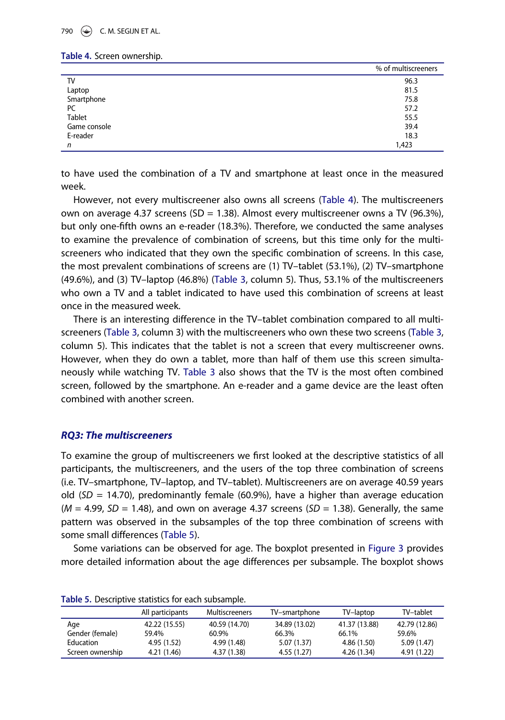790  $\left(\frac{1}{2}\right)$  C. M. SEGIJN ET AL.

#### <span id="page-12-0"></span>Table 4. Screen ownership.

|              | % of multiscreeners |
|--------------|---------------------|
| TV           | 96.3                |
| Laptop       | 81.5                |
| Smartphone   | 75.8                |
| PC           | 57.2                |
| Tablet       | 55.5                |
| Game console | 39.4                |
| E-reader     | 18.3                |
| n            | 1,423               |

to have used the combination of a TV and smartphone at least once in the measured week.

However, not every multiscreener also owns all screens [\(Table 4](#page-12-0)). The multiscreeners own on average 4.37 screens (SD = 1.38). Almost every multiscreener owns a TV (96.3%), but only one-fifth owns an e-reader (18.3%). Therefore, we conducted the same analyses to examine the prevalence of combination of screens, but this time only for the multiscreeners who indicated that they own the specific combination of screens. In this case, the most prevalent combinations of screens are (1) TV–tablet (53.1%), (2) TV–smartphone (49.6%), and (3) TV–laptop (46.8%) ([Table 3](#page-11-1), column 5). Thus, 53.1% of the multiscreeners who own a TV and a tablet indicated to have used this combination of screens at least once in the measured week.

There is an interesting difference in the TV–tablet combination compared to all multiscreeners [\(Table 3](#page-11-1), column 3) with the multiscreeners who own these two screens ([Table 3](#page-11-1), column 5). This indicates that the tablet is not a screen that every multiscreener owns. However, when they do own a tablet, more than half of them use this screen simultaneously while watching TV. [Table 3](#page-11-1) also shows that the TV is the most often combined screen, followed by the smartphone. An e-reader and a game device are the least often combined with another screen.

## RQ3: The multiscreeners

To examine the group of multiscreeners we first looked at the descriptive statistics of all participants, the multiscreeners, and the users of the top three combination of screens (i.e. TV–smartphone, TV–laptop, and TV–tablet). Multiscreeners are on average 40.59 years old  $(SD = 14.70)$ , predominantly female (60.9%), have a higher than average education  $(M = 4.99, SD = 1.48)$ , and own on average 4.37 screens (SD = 1.38). Generally, the same pattern was observed in the subsamples of the top three combination of screens with some small differences ([Table 5\)](#page-12-1).

Some variations can be observed for age. The boxplot presented in [Figure 3](#page-13-0) provides more detailed information about the age differences per subsample. The boxplot shows

|                  | All participants | <b>Multiscreeners</b> | TV-smartphone | TV-laptop     | TV-tablet     |
|------------------|------------------|-----------------------|---------------|---------------|---------------|
| Age              | 42.22 (15.55)    | 40.59 (14.70)         | 34.89 (13.02) | 41.37 (13.88) | 42.79 (12.86) |
| Gender (female)  | 59.4%            | 60.9%                 | 66.3%         | 66.1%         | 59.6%         |
| <b>Education</b> | 4.95(1.52)       | 4.99 (1.48)           | 5.07 (1.37)   | 4.86 (1.50)   | 5.09(1.47)    |
| Screen ownership | 4.21 (1.46)      | 4.37(1.38)            | 4.55(1.27)    | 4.26(1.34)    | 4.91 (1.22)   |

<span id="page-12-1"></span>Table 5. Descriptive statistics for each subsample.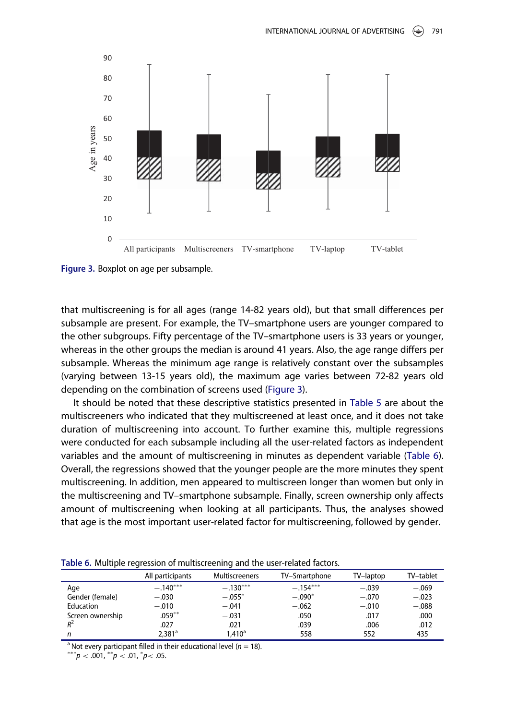<span id="page-13-0"></span>

Figure 3. Boxplot on age per subsample.

that multiscreening is for all ages (range 14-82 years old), but that small differences per subsample are present. For example, the TV–smartphone users are younger compared to the other subgroups. Fifty percentage of the TV–smartphone users is 33 years or younger, whereas in the other groups the median is around 41 years. Also, the age range differs per subsample. Whereas the minimum age range is relatively constant over the subsamples (varying between 13-15 years old), the maximum age varies between 72-82 years old depending on the combination of screens used ([Figure 3](#page-13-0)).

It should be noted that these descriptive statistics presented in [Table 5](#page-12-1) are about the multiscreeners who indicated that they multiscreened at least once, and it does not take duration of multiscreening into account. To further examine this, multiple regressions were conducted for each subsample including all the user-related factors as independent variables and the amount of multiscreening in minutes as dependent variable ([Table 6\)](#page-13-1). Overall, the regressions showed that the younger people are the more minutes they spent multiscreening. In addition, men appeared to multiscreen longer than women but only in the multiscreening and TV–smartphone subsample. Finally, screen ownership only affects amount of multiscreening when looking at all participants. Thus, the analyses showed that age is the most important user-related factor for multiscreening, followed by gender.

|                  | All participants | Multiscreeners | TV-Smartphone | TV-laptop | TV-tablet |  |  |
|------------------|------------------|----------------|---------------|-----------|-----------|--|--|
| Age              | $-.140***$       | $-.130***$     | $-.154***$    | $-.039$   | $-.069$   |  |  |
| Gender (female)  | $-.030$          | $-.055*$       | $-.090*$      | $-.070$   | $-.023$   |  |  |
| Education        | $-.010$          | $-.041$        | $-.062$       | $-.010$   | $-.088$   |  |  |
| Screen ownership | $.059***$        | $-.031$        | .050          | .017      | .000      |  |  |
| $R^2$            | .027             | .021           | .039          | .006      | .012      |  |  |
|                  | 2.381a           | $1.410^a$      | 558           | 552       | 435       |  |  |

Table 6. Multiple regression of multiscreening and the user-related factors.

<span id="page-13-1"></span><sup>a</sup> Not every participant filled in their educational level ( $n = 18$ ).

\*\*\*p < .001, \*\*p < .01, \*p< .05.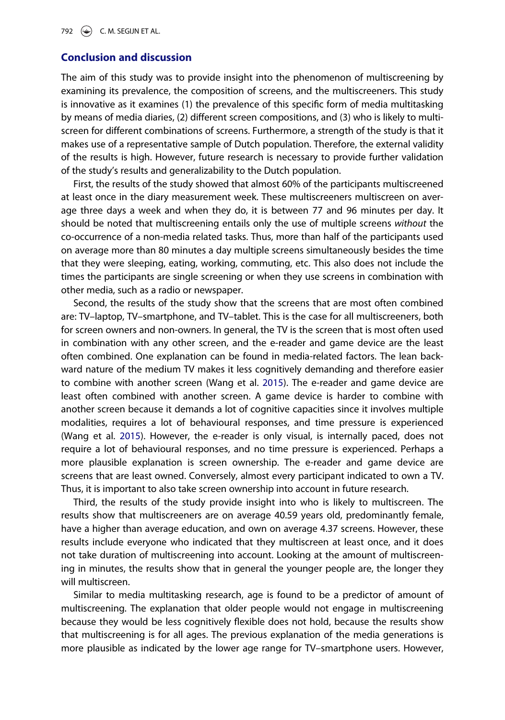## Conclusion and discussion

The aim of this study was to provide insight into the phenomenon of multiscreening by examining its prevalence, the composition of screens, and the multiscreeners. This study is innovative as it examines (1) the prevalence of this specific form of media multitasking by means of media diaries, (2) different screen compositions, and (3) who is likely to multiscreen for different combinations of screens. Furthermore, a strength of the study is that it makes use of a representative sample of Dutch population. Therefore, the external validity of the results is high. However, future research is necessary to provide further validation of the study's results and generalizability to the Dutch population.

First, the results of the study showed that almost 60% of the participants multiscreened at least once in the diary measurement week. These multiscreeners multiscreen on average three days a week and when they do, it is between 77 and 96 minutes per day. It should be noted that multiscreening entails only the use of multiple screens without the co-occurrence of a non-media related tasks. Thus, more than half of the participants used on average more than 80 minutes a day multiple screens simultaneously besides the time that they were sleeping, eating, working, commuting, etc. This also does not include the times the participants are single screening or when they use screens in combination with other media, such as a radio or newspaper.

Second, the results of the study show that the screens that are most often combined are: TV–laptop, TV–smartphone, and TV–tablet. This is the case for all multiscreeners, both for screen owners and non-owners. In general, the TV is the screen that is most often used in combination with any other screen, and the e-reader and game device are the least often combined. One explanation can be found in media-related factors. The lean backward nature of the medium TV makes it less cognitively demanding and therefore easier to combine with another screen (Wang et al. [2015\)](#page-19-2). The e-reader and game device are least often combined with another screen. A game device is harder to combine with another screen because it demands a lot of cognitive capacities since it involves multiple modalities, requires a lot of behavioural responses, and time pressure is experienced (Wang et al. [2015](#page-19-2)). However, the e-reader is only visual, is internally paced, does not require a lot of behavioural responses, and no time pressure is experienced. Perhaps a more plausible explanation is screen ownership. The e-reader and game device are screens that are least owned. Conversely, almost every participant indicated to own a TV. Thus, it is important to also take screen ownership into account in future research.

Third, the results of the study provide insight into who is likely to multiscreen. The results show that multiscreeners are on average 40.59 years old, predominantly female, have a higher than average education, and own on average 4.37 screens. However, these results include everyone who indicated that they multiscreen at least once, and it does not take duration of multiscreening into account. Looking at the amount of multiscreening in minutes, the results show that in general the younger people are, the longer they will multiscreen.

Similar to media multitasking research, age is found to be a predictor of amount of multiscreening. The explanation that older people would not engage in multiscreening because they would be less cognitively flexible does not hold, because the results show that multiscreening is for all ages. The previous explanation of the media generations is more plausible as indicated by the lower age range for TV–smartphone users. However,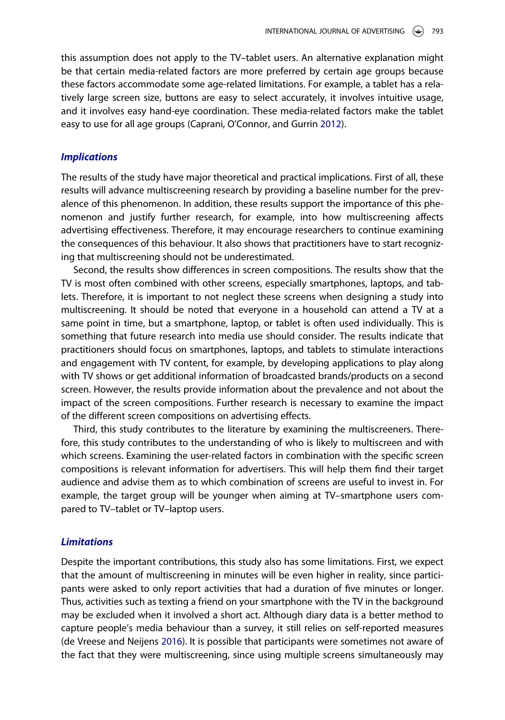this assumption does not apply to the TV–tablet users. An alternative explanation might be that certain media-related factors are more preferred by certain age groups because these factors accommodate some age-related limitations. For example, a tablet has a relatively large screen size, buttons are easy to select accurately, it involves intuitive usage, and it involves easy hand-eye coordination. These media-related factors make the tablet easy to use for all age groups (Caprani, O'Connor, and Gurrin [2012](#page-17-7)).

## <span id="page-15-0"></span>Implications

The results of the study have major theoretical and practical implications. First of all, these results will advance multiscreening research by providing a baseline number for the prevalence of this phenomenon. In addition, these results support the importance of this phenomenon and justify further research, for example, into how multiscreening affects advertising effectiveness. Therefore, it may encourage researchers to continue examining the consequences of this behaviour. It also shows that practitioners have to start recognizing that multiscreening should not be underestimated.

Second, the results show differences in screen compositions. The results show that the TV is most often combined with other screens, especially smartphones, laptops, and tablets. Therefore, it is important to not neglect these screens when designing a study into multiscreening. It should be noted that everyone in a household can attend a TV at a same point in time, but a smartphone, laptop, or tablet is often used individually. This is something that future research into media use should consider. The results indicate that practitioners should focus on smartphones, laptops, and tablets to stimulate interactions and engagement with TV content, for example, by developing applications to play along with TV shows or get additional information of broadcasted brands/products on a second screen. However, the results provide information about the prevalence and not about the impact of the screen compositions. Further research is necessary to examine the impact of the different screen compositions on advertising effects.

Third, this study contributes to the literature by examining the multiscreeners. Therefore, this study contributes to the understanding of who is likely to multiscreen and with which screens. Examining the user-related factors in combination with the specific screen compositions is relevant information for advertisers. This will help them find their target audience and advise them as to which combination of screens are useful to invest in. For example, the target group will be younger when aiming at TV–smartphone users compared to TV–tablet or TV–laptop users.

## **Limitations**

Despite the important contributions, this study also has some limitations. First, we expect that the amount of multiscreening in minutes will be even higher in reality, since participants were asked to only report activities that had a duration of five minutes or longer. Thus, activities such as texting a friend on your smartphone with the TV in the background may be excluded when it involved a short act. Although diary data is a better method to capture people's media behaviour than a survey, it still relies on self-reported measures (de Vreese and Neijens [2016](#page-18-10)). It is possible that participants were sometimes not aware of the fact that they were multiscreening, since using multiple screens simultaneously may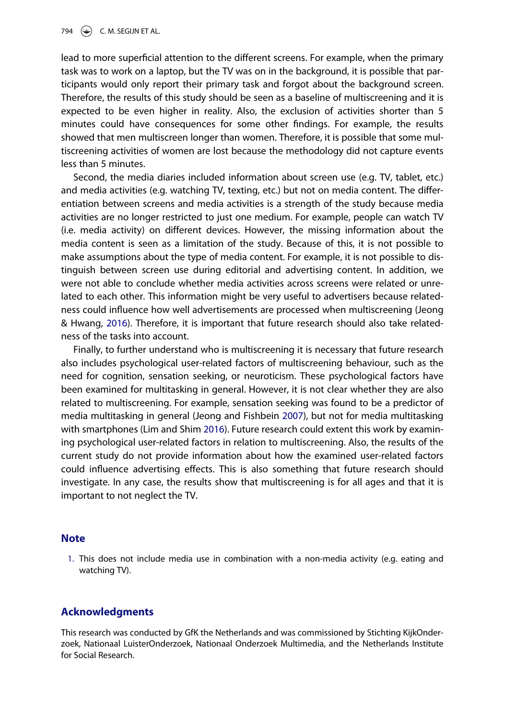lead to more superficial attention to the different screens. For example, when the primary task was to work on a laptop, but the TV was on in the background, it is possible that participants would only report their primary task and forgot about the background screen. Therefore, the results of this study should be seen as a baseline of multiscreening and it is expected to be even higher in reality. Also, the exclusion of activities shorter than 5 minutes could have consequences for some other findings. For example, the results showed that men multiscreen longer than women. Therefore, it is possible that some multiscreening activities of women are lost because the methodology did not capture events less than 5 minutes.

Second, the media diaries included information about screen use (e.g. TV, tablet, etc.) and media activities (e.g. watching TV, texting, etc.) but not on media content. The differentiation between screens and media activities is a strength of the study because media activities are no longer restricted to just one medium. For example, people can watch TV (i.e. media activity) on different devices. However, the missing information about the media content is seen as a limitation of the study. Because of this, it is not possible to make assumptions about the type of media content. For example, it is not possible to distinguish between screen use during editorial and advertising content. In addition, we were not able to conclude whether media activities across screens were related or unrelated to each other. This information might be very useful to advertisers because relatedness could influence how well advertisements are processed when multiscreening (Jeong & Hwang, [2016](#page-18-20)). Therefore, it is important that future research should also take relatedness of the tasks into account.

<span id="page-16-2"></span><span id="page-16-1"></span>Finally, to further understand who is multiscreening it is necessary that future research also includes psychological user-related factors of multiscreening behaviour, such as the need for cognition, sensation seeking, or neuroticism. These psychological factors have been examined for multitasking in general. However, it is not clear whether they are also related to multiscreening. For example, sensation seeking was found to be a predictor of media multitasking in general (Jeong and Fishbein [2007](#page-18-7)), but not for media multitasking with smartphones (Lim and Shim [2016](#page-18-21)). Future research could extent this work by examining psychological user-related factors in relation to multiscreening. Also, the results of the current study do not provide information about how the examined user-related factors could influence advertising effects. This is also something that future research should investigate. In any case, the results show that multiscreening is for all ages and that it is important to not neglect the TV.

## <span id="page-16-0"></span>**Note**

1. This does not include media use in combination with a non-media activity (e.g. eating and watching TV).

## Acknowledgments

This research was conducted by GfK the Netherlands and was commissioned by Stichting KijkOnderzoek, Nationaal LuisterOnderzoek, Nationaal Onderzoek Multimedia, and the Netherlands Institute for Social Research.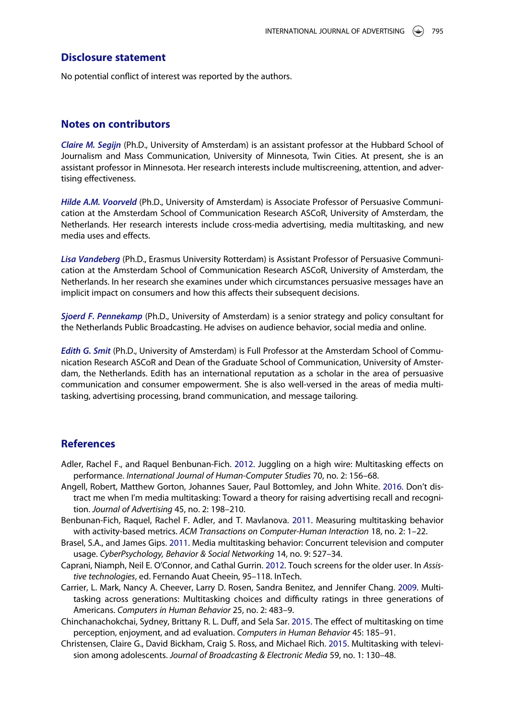## Disclosure statement

No potential conflict of interest was reported by the authors.

## Notes on contributors

Claire M. Segijn (Ph.D., University of Amsterdam) is an assistant professor at the Hubbard School of Journalism and Mass Communication, University of Minnesota, Twin Cities. At present, she is an assistant professor in Minnesota. Her research interests include multiscreening, attention, and advertising effectiveness.

Hilde A.M. Voorveld (Ph.D., University of Amsterdam) is Associate Professor of Persuasive Communication at the Amsterdam School of Communication Research ASCoR, University of Amsterdam, the Netherlands. Her research interests include cross-media advertising, media multitasking, and new media uses and effects.

Lisa Vandeberg (Ph.D., Erasmus University Rotterdam) is Assistant Professor of Persuasive Communication at the Amsterdam School of Communication Research ASCoR, University of Amsterdam, the Netherlands. In her research she examines under which circumstances persuasive messages have an implicit impact on consumers and how this affects their subsequent decisions.

Sjoerd F. Pennekamp (Ph.D., University of Amsterdam) is a senior strategy and policy consultant for the Netherlands Public Broadcasting. He advises on audience behavior, social media and online.

Edith G. Smit (Ph.D., University of Amsterdam) is Full Professor at the Amsterdam School of Communication Research ASCoR and Dean of the Graduate School of Communication, University of Amsterdam, the Netherlands. Edith has an international reputation as a scholar in the area of persuasive communication and consumer empowerment. She is also well-versed in the areas of media multitasking, advertising processing, brand communication, and message tailoring.

## **References**

- <span id="page-17-3"></span>Adler, Rachel F., and Raquel Benbunan-Fich. [2012](#page-2-0). Juggling on a high wire: Multitasking effects on performance. International Journal of Human-Computer Studies 70, no. 2: 156–68.
- <span id="page-17-1"></span>Angell, Robert, Matthew Gorton, Johannes Sauer, Paul Bottomley, and John White. [2016](#page-1-2). Don't distract me when I'm media multitasking: Toward a theory for raising advertising recall and recognition. Journal of Advertising 45, no. 2: 198–210.
- <span id="page-17-2"></span>Benbunan-Fich, Raquel, Rachel F. Adler, and T. Mavlanova. [2011.](#page-2-1) Measuring multitasking behavior with activity-based metrics. ACM Transactions on Computer-Human Interaction 18, no. 2: 1-22.
- <span id="page-17-4"></span>Brasel, S.A., and James Gips. [2011.](#page-4-0) Media multitasking behavior: Concurrent television and computer usage. CyberPsychology, Behavior & Social Networking 14, no. 9: 527–34.
- <span id="page-17-7"></span>Caprani, Niamph, Neil E. O'Connor, and Cathal Gurrin. [2012.](#page-15-0) Touch screens for the older user. In Assistive technologies, ed. Fernando Auat Cheein, 95–118. InTech.
- <span id="page-17-5"></span>Carrier, L. Mark, Nancy A. Cheever, Larry D. Rosen, Sandra Benitez, and Jennifer Chang. [2009](#page-5-0). Multitasking across generations: Multitasking choices and difficulty ratings in three generations of Americans. Computers in Human Behavior 25, no. 2: 483–9.

<span id="page-17-0"></span>Chinchanachokchai, Sydney, Brittany R. L. Duff, and Sela Sar. [2015](#page-1-3). The effect of multitasking on time perception, enjoyment, and ad evaluation. Computers in Human Behavior 45: 185–91.

<span id="page-17-6"></span>Christensen, Claire G., David Bickham, Craig S. Ross, and Michael Rich. [2015](#page-6-0). Multitasking with television among adolescents. Journal of Broadcasting & Electronic Media 59, no. 1: 130–48.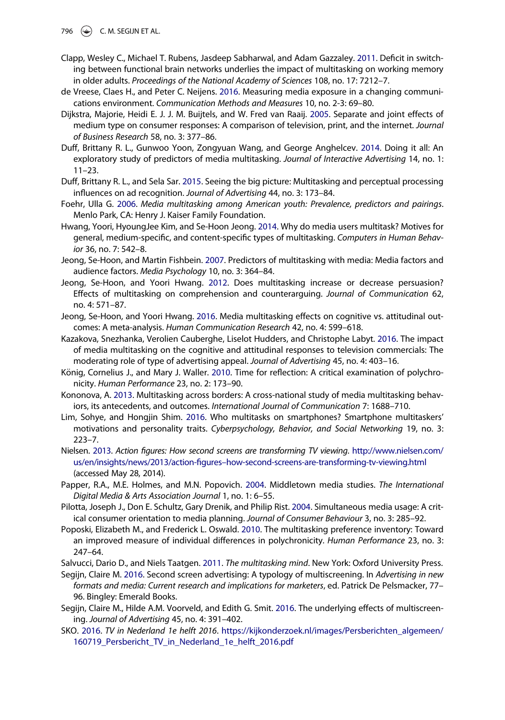796  $\left(\bigoplus$  C. M. SEGIJN ET AL.

- <span id="page-18-16"></span>Clapp, Wesley C., Michael T. Rubens, Jasdeep Sabharwal, and Adam Gazzaley. [2011](#page-6-1). Deficit in switching between functional brain networks underlies the impact of multitasking on working memory in older adults. Proceedings of the National Academy of Sciences 108, no. 17: 7212–7.
- <span id="page-18-10"></span>de Vreese, Claes H., and Peter C. Neijens. [2016.](#page-4-1) Measuring media exposure in a changing communications environment. Communication Methods and Measures 10, no. 2-3: 69–80.
- <span id="page-18-12"></span>Dijkstra, Majorie, Heidi E. J. J. M. Buijtels, and W. Fred van Raaij. [2005](#page-4-2). Separate and joint effects of medium type on consumer responses: A comparison of television, print, and the internet, Journal of Business Research 58, no. 3: 377–86.
- <span id="page-18-14"></span>Duff, Brittany R. L., Gunwoo Yoon, Zongyuan Wang, and George Anghelcev. [2014](#page-5-0). Doing it all: An exploratory study of predictors of media multitasking. Journal of Interactive Advertising 14, no. 1: 11–23.
- <span id="page-18-3"></span>Duff, Brittany R. L., and Sela Sar. [2015.](#page-1-2) Seeing the big picture: Multitasking and perceptual processing influences on ad recognition. Journal of Advertising 44, no. 3: 173–84.
- <span id="page-18-5"></span>Foehr, Ulla G. [2006.](#page-2-2) Media multitasking among American youth: Prevalence, predictors and pairings. Menlo Park, CA: Henry J. Kaiser Family Foundation.
- <span id="page-18-15"></span>Hwang, Yoori, HyoungJee Kim, and Se-Hoon Jeong. [2014](#page-5-1). Why do media users multitask? Motives for general, medium-specific, and content-specific types of multitasking. Computers in Human Behavior 36, no. 7: 542–8.
- <span id="page-18-7"></span>Jeong, Se-Hoon, and Martin Fishbein. [2007.](#page-2-3) Predictors of multitasking with media: Media factors and audience factors. Media Psychology 10, no. 3: 364–84.
- <span id="page-18-4"></span>Jeong, Se-Hoon, and Yoori Hwang. [2012](#page-2-4). Does multitasking increase or decrease persuasion? Effects of multitasking on comprehension and counterarguing. Journal of Communication 62, no. 4: 571–87.
- <span id="page-18-20"></span>Jeong, Se-Hoon, and Yoori Hwang. [2016](#page-16-1). Media multitasking effects on cognitive vs. attitudinal outcomes: A meta-analysis. Human Communication Research 42, no. 4: 599–618.
- <span id="page-18-1"></span>Kazakova, Snezhanka, Verolien Cauberghe, Liselot Hudders, and Christophe Labyt. [2016](#page-1-4). The impact of media multitasking on the cognitive and attitudinal responses to television commercials: The moderating role of type of advertising appeal. Journal of Advertising 45, no. 4: 403–16.
- <span id="page-18-18"></span>König, Cornelius J., and Mary J. Waller. [2010](#page-6-2). Time for reflection: A critical examination of polychronicity. Human Performance 23, no. 2: 173–90.
- <span id="page-18-17"></span>Kononova, A. [2013](#page-6-3). Multitasking across borders: A cross-national study of media multitasking behaviors, its antecedents, and outcomes. International Journal of Communication 7: 1688–710.
- <span id="page-18-21"></span>Lim, Sohye, and Hongjin Shim. [2016](#page-16-2). Who multitasks on smartphones? Smartphone multitaskers' motivations and personality traits. Cyberpsychology, Behavior, and Social Networking 19, no. 3: 223–7.
- <span id="page-18-9"></span>Nielsen. [2013](#page-3-0). Action figures: How second screens are transforming TV viewing. [http://www.nielsen.com/](http://www.nielsen.com/us/en/insights/news/2013/action-figures--how-second-screens-are-transforming-tv-viewing.html) us/en/insights/news/2013/action-figures–[how-second-screens-are-transforming-tv-viewing.html](http://www.nielsen.com/us/en/insights/news/2013/action-figures--how-second-screens-are-transforming-tv-viewing.html) (accessed May 28, 2014).
- <span id="page-18-11"></span>Papper, R.A., M.E. Holmes, and M.N. Popovich. [2004](#page-4-3). Middletown media studies. The International Digital Media & Arts Association Journal 1, no. 1: 6–55.
- <span id="page-18-6"></span>Pilotta, Joseph J., Don E. Schultz, Gary Drenik, and Philip Rist. [2004](#page-2-2). Simultaneous media usage: A critical consumer orientation to media planning. Journal of Consumer Behaviour 3, no. 3: 285–92.
- <span id="page-18-19"></span>Poposki, Elizabeth M., and Frederick L. Oswald. [2010](#page-6-2). The multitasking preference inventory: Toward an improved measure of individual differences in polychronicity. Human Performance 23, no. 3: 247–64.

<span id="page-18-8"></span>Salvucci, Dario D., and Niels Taatgen. [2011.](#page-2-0) The multitasking mind. New York: Oxford University Press.

<span id="page-18-0"></span>Segijn, Claire M. [2016](#page-1-3). Second screen advertising: A typology of multiscreening. In Advertising in new formats and media: Current research and implications for marketers, ed. Patrick De Pelsmacker, 77– 96. Bingley: Emerald Books.

<span id="page-18-2"></span>Segijn, Claire M., Hilde A.M. Voorveld, and Edith G. Smit. [2016.](#page-1-5) The underlying effects of multiscreening. Journal of Advertising 45, no. 4: 391–402.

<span id="page-18-13"></span>SKO. [2016](#page-5-2). TV in Nederland 1e helft 2016. [https://kijkonderzoek.nl/images/Persberichten\\_algemeen/](https://kijkonderzoek.nl/images/Persberichten_algemeen/160719_Persbericht_TV_in_Nederland_1e_helft_2016.pdf) [160719\\_Persbericht\\_TV\\_in\\_Nederland\\_1e\\_helft\\_2016.pdf](https://kijkonderzoek.nl/images/Persberichten_algemeen/160719_Persbericht_TV_in_Nederland_1e_helft_2016.pdf)